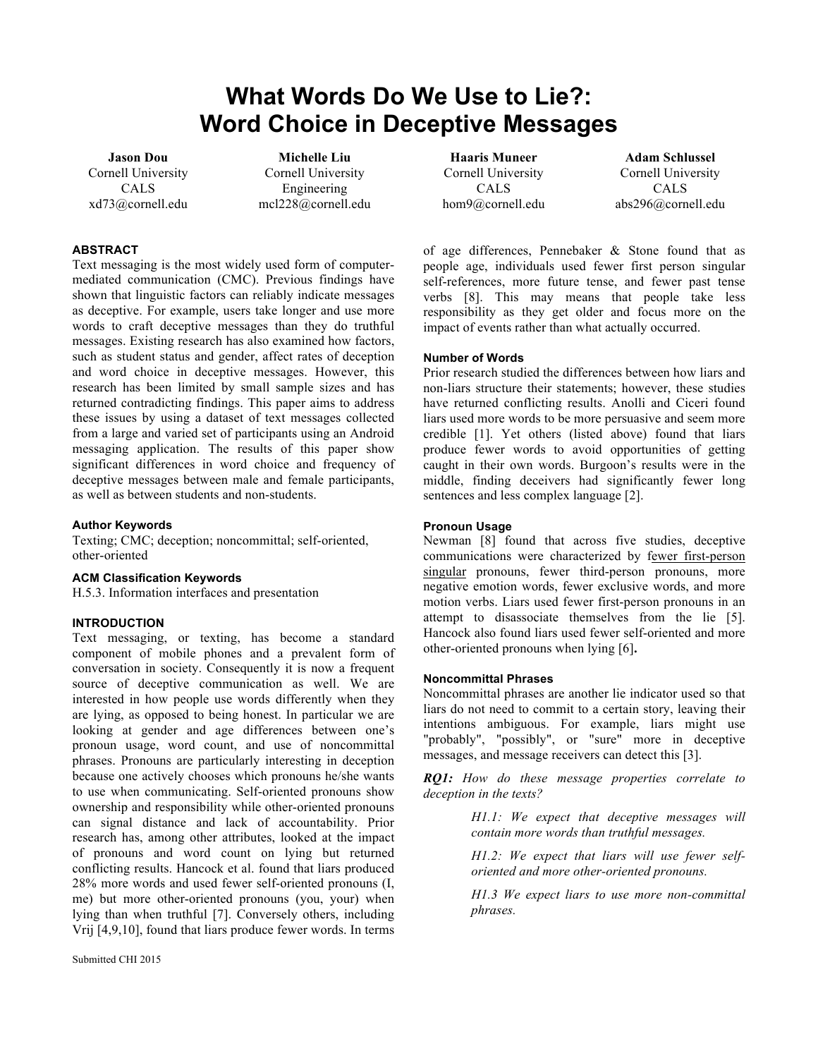# **What Words Do We Use to Lie?: Word Choice in Deceptive Messages**

**Jason Dou** Cornell University CALS xd73@cornell.edu

**Michelle Liu** Cornell University Engineering mcl228@cornell.edu

### **ABSTRACT**

Text messaging is the most widely used form of computermediated communication (CMC). Previous findings have shown that linguistic factors can reliably indicate messages as deceptive. For example, users take longer and use more words to craft deceptive messages than they do truthful messages. Existing research has also examined how factors, such as student status and gender, affect rates of deception and word choice in deceptive messages. However, this research has been limited by small sample sizes and has returned contradicting findings. This paper aims to address these issues by using a dataset of text messages collected from a large and varied set of participants using an Android messaging application. The results of this paper show significant differences in word choice and frequency of deceptive messages between male and female participants, as well as between students and non-students.

**Author Keywords**

Texting; CMC; deception; noncommittal; self-oriented, other-oriented

#### **ACM Classification Keywords**

H.5.3. Information interfaces and presentation

#### **INTRODUCTION**

Text messaging, or texting, has become a standard component of mobile phones and a prevalent form of conversation in society. Consequently it is now a frequent source of deceptive communication as well. We are interested in how people use words differently when they are lying, as opposed to being honest. In particular we are looking at gender and age differences between one's pronoun usage, word count, and use of noncommittal phrases. Pronouns are particularly interesting in deception because one actively chooses which pronouns he/she wants to use when communicating. Self-oriented pronouns show ownership and responsibility while other-oriented pronouns can signal distance and lack of accountability. Prior research has, among other attributes, looked at the impact of pronouns and word count on lying but returned conflicting results. Hancock et al. found that liars produced 28% more words and used fewer self-oriented pronouns (I, me) but more other-oriented pronouns (you, your) when lying than when truthful [7]. Conversely others, including Vrij [4,9,10], found that liars produce fewer words. In terms

**Haaris Muneer** Cornell University CALS hom9@cornell.edu

**Adam Schlussel** Cornell University CALS abs296@cornell.edu

of age differences, Pennebaker & Stone found that as people age, individuals used fewer first person singular self-references, more future tense, and fewer past tense verbs [8]. This may means that people take less responsibility as they get older and focus more on the impact of events rather than what actually occurred.

#### **Number of Words**

Prior research studied the differences between how liars and non-liars structure their statements; however, these studies have returned conflicting results. Anolli and Ciceri found liars used more words to be more persuasive and seem more credible [1]. Yet others (listed above) found that liars produce fewer words to avoid opportunities of getting caught in their own words. Burgoon's results were in the middle, finding deceivers had significantly fewer long sentences and less complex language [2].

#### **Pronoun Usage**

Newman [8] found that across five studies, deceptive communications were characterized by fewer first-person singular pronouns, fewer third-person pronouns, more negative emotion words, fewer exclusive words, and more motion verbs. Liars used fewer first-person pronouns in an attempt to disassociate themselves from the lie [5]. Hancock also found liars used fewer self-oriented and more other-oriented pronouns when lying [6]**.**

### **Noncommittal Phrases**

Noncommittal phrases are another lie indicator used so that liars do not need to commit to a certain story, leaving their intentions ambiguous. For example, liars might use "probably", "possibly", or "sure" more in deceptive messages, and message receivers can detect this [3].

*RQ1: How do these message properties correlate to deception in the texts?*

> *H1.1: We expect that deceptive messages will contain more words than truthful messages.*

> *H1.2: We expect that liars will use fewer selforiented and more other-oriented pronouns.*

> *H1.3 We expect liars to use more non-committal phrases.*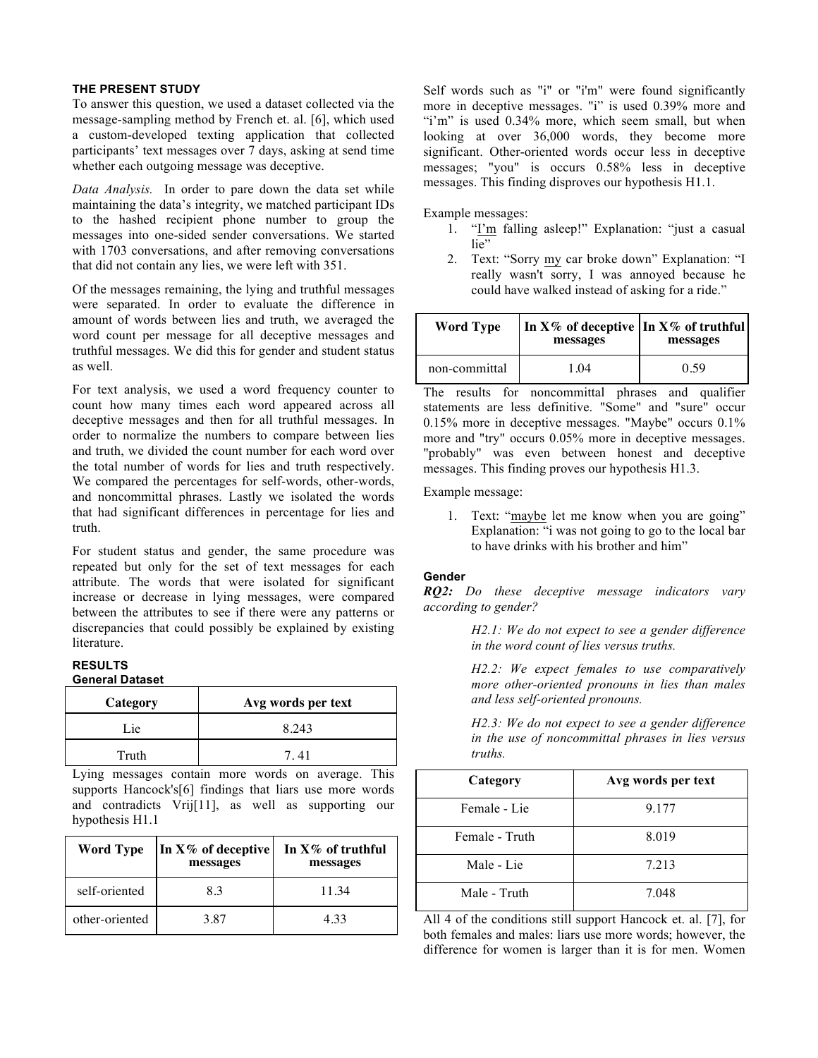#### **THE PRESENT STUDY**

To answer this question, we used a dataset collected via the message-sampling method by French et. al. [6], which used a custom-developed texting application that collected participants' text messages over 7 days, asking at send time whether each outgoing message was deceptive.

*Data Analysis.* In order to pare down the data set while maintaining the data's integrity, we matched participant IDs to the hashed recipient phone number to group the messages into one-sided sender conversations. We started with 1703 conversations, and after removing conversations that did not contain any lies, we were left with 351.

Of the messages remaining, the lying and truthful messages were separated. In order to evaluate the difference in amount of words between lies and truth, we averaged the word count per message for all deceptive messages and truthful messages. We did this for gender and student status as well.

For text analysis, we used a word frequency counter to count how many times each word appeared across all deceptive messages and then for all truthful messages. In order to normalize the numbers to compare between lies and truth, we divided the count number for each word over the total number of words for lies and truth respectively. We compared the percentages for self-words, other-words, and noncommittal phrases. Lastly we isolated the words that had significant differences in percentage for lies and truth.

For student status and gender, the same procedure was repeated but only for the set of text messages for each attribute. The words that were isolated for significant increase or decrease in lying messages, were compared between the attributes to see if there were any patterns or discrepancies that could possibly be explained by existing literature.

#### **RESULTS General Dataset**

| Category | Avg words per text |
|----------|--------------------|
| Lie      | 8.243              |
| Truth    | 741                |

Lying messages contain more words on average. This supports Hancock's[6] findings that liars use more words and contradicts Vrij[11], as well as supporting our hypothesis H1.1

| <b>Word Type</b> | In $X\%$ of deceptive<br>messages | In $X\%$ of truthful<br>messages |
|------------------|-----------------------------------|----------------------------------|
| self-oriented    | 83                                | 11.34                            |
| other-oriented   | 3.87                              | 4.33                             |

Self words such as "i" or "i'm" were found significantly more in deceptive messages. "i" is used 0.39% more and "i'm" is used 0.34% more, which seem small, but when looking at over 36,000 words, they become more significant. Other-oriented words occur less in deceptive messages; "you" is occurs 0.58% less in deceptive messages. This finding disproves our hypothesis H1.1.

Example messages:

- 1. "I'm falling asleep!" Explanation: "just a casual lie"
- 2. Text: "Sorry my car broke down" Explanation: "I really wasn't sorry, I was annoyed because he could have walked instead of asking for a ride."

| <b>Word Type</b> | In $X\%$ of deceptive In $X\%$ of truthful<br>messages | messages |  |
|------------------|--------------------------------------------------------|----------|--|
| non-committal    | 1 ()4                                                  | በ 59     |  |

The results for noncommittal phrases and qualifier statements are less definitive. "Some" and "sure" occur 0.15% more in deceptive messages. "Maybe" occurs 0.1% more and "try" occurs 0.05% more in deceptive messages. "probably" was even between honest and deceptive messages. This finding proves our hypothesis H1.3.

Example message:

1. Text: "maybe let me know when you are going" Explanation: "i was not going to go to the local bar to have drinks with his brother and him"

## **Gender**

*RQ2: Do these deceptive message indicators vary according to gender?*

> *H2.1: We do not expect to see a gender difference in the word count of lies versus truths.*

*H2.2: We expect females to use comparatively more other-oriented pronouns in lies than males and less self-oriented pronouns.*

*H2.3: We do not expect to see a gender difference in the use of noncommittal phrases in lies versus truths.*

| Category       | Avg words per text |
|----------------|--------------------|
| Female - Lie   | 9.177              |
| Female - Truth | 8.019              |
| Male - Lie     | 7.213              |
| Male - Truth   | 7.048              |

All 4 of the conditions still support Hancock et. al. [7], for both females and males: liars use more words; however, the difference for women is larger than it is for men. Women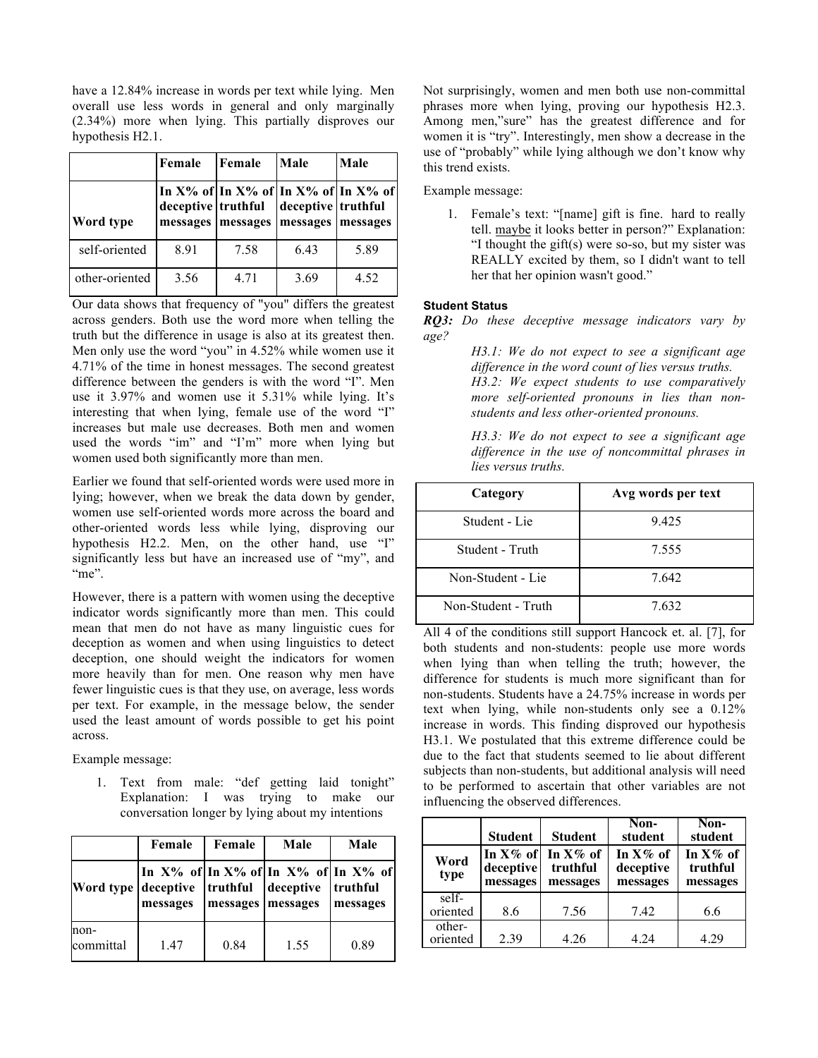have a 12.84% increase in words per text while lying. Men overall use less words in general and only marginally (2.34%) more when lying. This partially disproves our hypothesis H2.1.

|                | Female                         | Female   | Male                           | Male                                            |
|----------------|--------------------------------|----------|--------------------------------|-------------------------------------------------|
| Word type      | deceptive truthful<br>messages | messages | deceptive truthful<br>messages | In X% of In X% of In X% of In X% of<br>messages |
| self-oriented  | 8.91                           | 7.58     | 6.43                           | 5.89                                            |
| other-oriented | 3.56                           | 4.71     | 3.69                           | 4.52                                            |

Our data shows that frequency of "you" differs the greatest across genders. Both use the word more when telling the truth but the difference in usage is also at its greatest then. Men only use the word "you" in 4.52% while women use it 4.71% of the time in honest messages. The second greatest difference between the genders is with the word "I". Men use it 3.97% and women use it 5.31% while lying. It's interesting that when lying, female use of the word "I" increases but male use decreases. Both men and women used the words "im" and "I'm" more when lying but women used both significantly more than men.

Earlier we found that self-oriented words were used more in lying; however, when we break the data down by gender, women use self-oriented words more across the board and other-oriented words less while lying, disproving our hypothesis H2.2. Men, on the other hand, use "I" significantly less but have an increased use of "my", and "me".

However, there is a pattern with women using the deceptive indicator words significantly more than men. This could mean that men do not have as many linguistic cues for deception as women and when using linguistics to detect deception, one should weight the indicators for women more heavily than for men. One reason why men have fewer linguistic cues is that they use, on average, less words per text. For example, in the message below, the sender used the least amount of words possible to get his point across.

Example message:

1. Text from male: "def getting laid tonight" Explanation: I was trying to make our conversation longer by lying about my intentions

|                   | Female                                   | Female   | Male                                                         | Male                 |
|-------------------|------------------------------------------|----------|--------------------------------------------------------------|----------------------|
|                   | Word type deceptive truthful<br>messages | messages | In X% of In X% of In X% of In X% of<br>deceptive<br>messages | truthful<br>messages |
| non-<br>committal | 1.47                                     | 0.84     | 1.55                                                         | 0.89                 |

Not surprisingly, women and men both use non-committal phrases more when lying, proving our hypothesis H2.3. Among men,"sure" has the greatest difference and for women it is "try". Interestingly, men show a decrease in the use of "probably" while lying although we don't know why this trend exists.

Example message:

1. Female's text: "[name] gift is fine. hard to really tell. maybe it looks better in person?" Explanation: "I thought the gift(s) were so-so, but my sister was REALLY excited by them, so I didn't want to tell her that her opinion wasn't good."

## **Student Status**

*RQ3: Do these deceptive message indicators vary by age?* 

> *H3.1: We do not expect to see a significant age difference in the word count of lies versus truths. H3.2: We expect students to use comparatively more self-oriented pronouns in lies than nonstudents and less other-oriented pronouns.*

> *H3.3: We do not expect to see a significant age difference in the use of noncommittal phrases in lies versus truths.*

| Category            | Avg words per text |
|---------------------|--------------------|
| Student - Lie       | 9.425              |
| Student - Truth     | 7.555              |
| Non-Student - Lie   | 7.642              |
| Non-Student - Truth | 7.632              |

All 4 of the conditions still support Hancock et. al. [7], for both students and non-students: people use more words when lying than when telling the truth; however, the difference for students is much more significant than for non-students. Students have a 24.75% increase in words per text when lying, while non-students only see a 0.12% increase in words. This finding disproved our hypothesis H3.1. We postulated that this extreme difference could be due to the fact that students seemed to lie about different subjects than non-students, but additional analysis will need to be performed to ascertain that other variables are not influencing the observed differences.

|                    | <b>Student</b>                       | <b>Student</b>                      | Non-<br>student                      | Non-<br>student                     |
|--------------------|--------------------------------------|-------------------------------------|--------------------------------------|-------------------------------------|
| Word<br>type       | In $X\%$ of<br>deceptive<br>messages | In $X\%$ of<br>truthful<br>messages | In $X\%$ of<br>deceptive<br>messages | In $X\%$ of<br>truthful<br>messages |
| self-<br>oriented  | 8.6                                  | 7.56                                | 7.42                                 | 6.6                                 |
| other-<br>oriented | 2.39                                 | 4.26                                | 4.24                                 | 4 29                                |